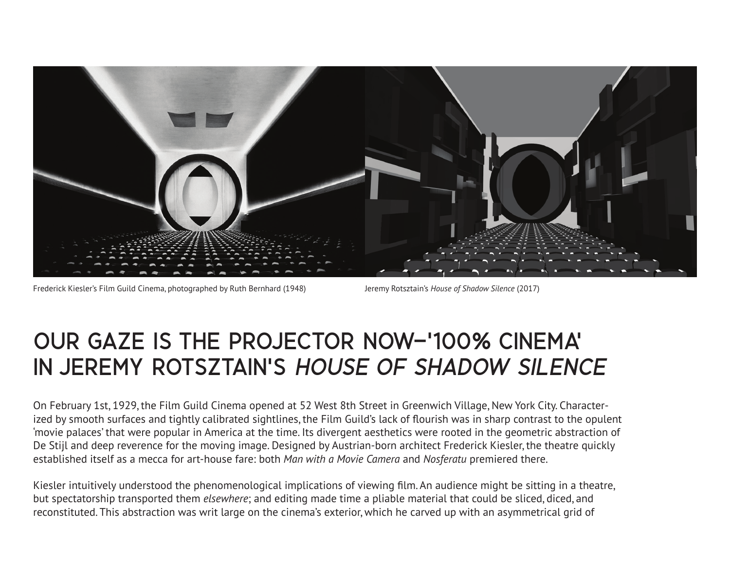

Frederick Kiesler's Film Guild Cinema, photographed by Ruth Bernhard (1948) Jeremy Rotsztain's *House of Shadow Silence* (2017)

## OUR GAZE IS THE PROJECTOR NOW−'100% CINEMA' IN JEREMY ROTSZTAIN'S HOUSE OF SHADOW SILENCE

On February 1st, 1929, the Film Guild Cinema opened at 52 West 8th Street in Greenwich Village, New York City. Characterized by smooth surfaces and tightly calibrated sightlines, the Film Guild's lack of flourish was in sharp contrast to the opulent 'movie palaces' that were popular in America at the time. Its divergent aesthetics were rooted in the geometric abstraction of De Stijl and deep reverence for the moving image. Designed by Austrian-born architect Frederick Kiesler, the theatre quickly established itself as a mecca for art-house fare: both *Man with a Movie Camera* and *Nosferatu* premiered there.

Kiesler intuitively understood the phenomenological implications of viewing film. An audience might be sitting in a theatre, but spectatorship transported them *elsewhere*; and editing made time a pliable material that could be sliced, diced, and reconstituted. This abstraction was writ large on the cinema's exterior, which he carved up with an asymmetrical grid of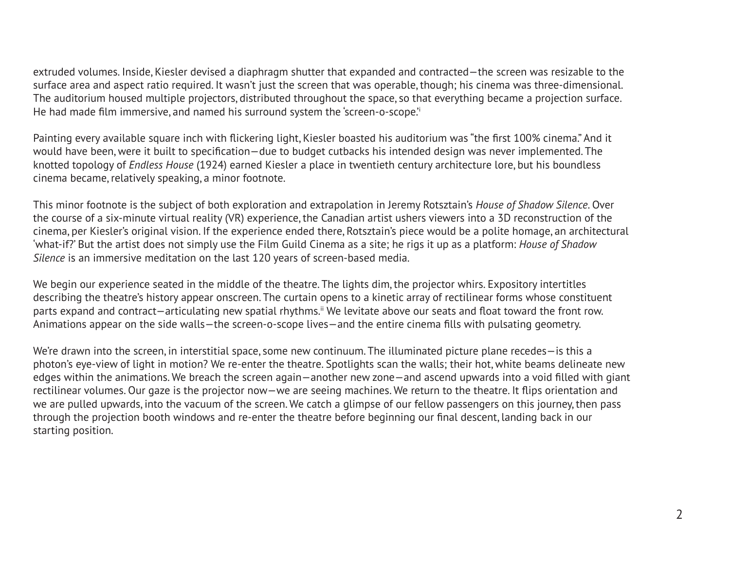extruded volumes. Inside, Kiesler devised a diaphragm shutter that expanded and contracted—the screen was resizable to the surface area and aspect ratio required. It wasn't just the screen that was operable, though; his cinema was three-dimensional. The auditorium housed multiple projectors, distributed throughout the space, so that everything became a projection surface. He had made film immersive, and named his surround system the 'screen-o-scope.'<sup>i</sup>

Painting every available square inch with flickering light, Kiesler boasted his auditorium was "the first 100% cinema." And it would have been, were it built to specification—due to budget cutbacks his intended design was never implemented. The knotted topology of *Endless House* (1924) earned Kiesler a place in twentieth century architecture lore, but his boundless cinema became, relatively speaking, a minor footnote.

This minor footnote is the subject of both exploration and extrapolation in Jeremy Rotsztain's *House of Shadow Silence*. Over the course of a six-minute virtual reality (VR) experience, the Canadian artist ushers viewers into a 3D reconstruction of the cinema, per Kiesler's original vision. If the experience ended there, Rotsztain's piece would be a polite homage, an architectural 'what-if?' But the artist does not simply use the Film Guild Cinema as a site; he rigs it up as a platform: *House of Shadow Silence* is an immersive meditation on the last 120 years of screen-based media.

We begin our experience seated in the middle of the theatre. The lights dim, the projector whirs. Expository intertitles describing the theatre's history appear onscreen. The curtain opens to a kinetic array of rectilinear forms whose constituent parts expand and contract—articulating new spatial rhythms.<sup>ii</sup> We levitate above our seats and float toward the front row. Animations appear on the side walls—the screen-o-scope lives—and the entire cinema fills with pulsating geometry.

We're drawn into the screen, in interstitial space, some new continuum. The illuminated picture plane recedes—is this a photon's eye-view of light in motion? We re-enter the theatre. Spotlights scan the walls; their hot, white beams delineate new edges within the animations. We breach the screen again—another new zone—and ascend upwards into a void filled with giant rectilinear volumes. Our gaze is the projector now—we are seeing machines. We return to the theatre. It flips orientation and we are pulled upwards, into the vacuum of the screen. We catch a glimpse of our fellow passengers on this journey, then pass through the projection booth windows and re-enter the theatre before beginning our final descent, landing back in our starting position.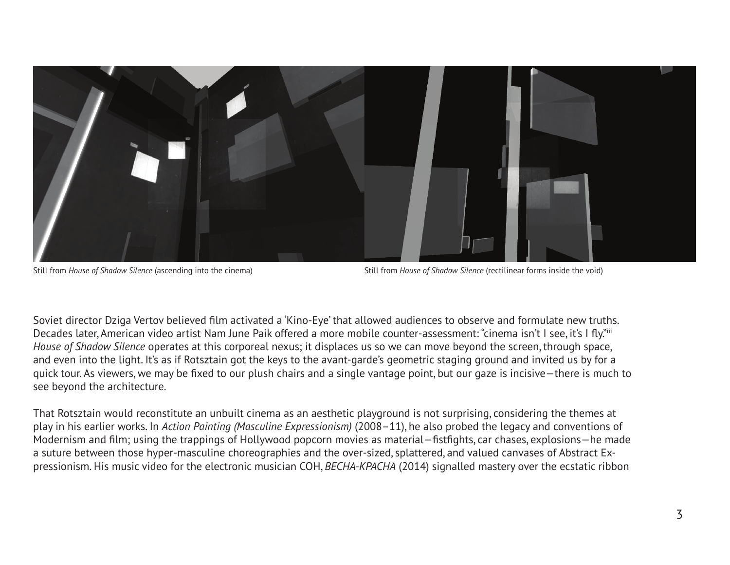

Still from *House of Shadow Silence* (ascending into the cinema) Still from *House of Shadow Silence* (rectilinear forms inside the void)

Soviet director Dziga Vertov believed film activated a 'Kino-Eye' that allowed audiences to observe and formulate new truths. Decades later, American video artist Nam June Paik offered a more mobile counter-assessment: "cinema isn't I see, it's I fly."iii *House of Shadow Silence* operates at this corporeal nexus; it displaces us so we can move beyond the screen, through space, and even into the light. It's as if Rotsztain got the keys to the avant-garde's geometric staging ground and invited us by for a quick tour. As viewers, we may be fixed to our plush chairs and a single vantage point, but our gaze is incisive—there is much to see beyond the architecture.

That Rotsztain would reconstitute an unbuilt cinema as an aesthetic playground is not surprising, considering the themes at play in his earlier works. In *Action Painting (Masculine Expressionism)* (2008–11), he also probed the legacy and conventions of Modernism and film; using the trappings of Hollywood popcorn movies as material—fistfights, car chases, explosions—he made a suture between those hyper-masculine choreographies and the over-sized, splattered, and valued canvases of Abstract Expressionism. His music video for the electronic musician COH, *BECHA-KPACHA* (2014) signalled mastery over the ecstatic ribbon